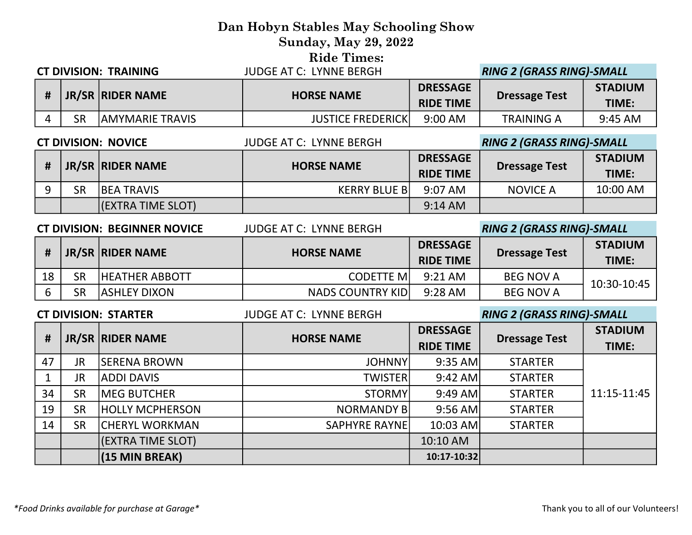## Dan Hobyn Stables May Schooling Show Sunday, May 29, 2022 Ride Times: CT DIVISION: TRAINING JUDGE AT C: LYNNE BERGH RING 2 (GRASS RING)-SMALL

|    |                        |                          |                                     | THIS SECTION ISSUED TO STUDIES |                         |
|----|------------------------|--------------------------|-------------------------------------|--------------------------------|-------------------------|
|    | JR/SR RIDER NAME       | <b>HORSE NAME</b>        | <b>DRESSAGE</b><br><b>RIDE TIME</b> | <b>Dressage Test</b>           | <b>STADIUM</b><br>TIME: |
| SR | <b>AMYMARIE TRAVIS</b> | <b>JUSTICE FREDERICK</b> | 9:00 AM                             | <b>TRAINING A</b>              | 9:45 AM                 |

### CT DIVISION: NOVICE JUDGE AT C: LYNNE BERGH RING 2 (GRASS RING)-SMALL # JR/SR RIDER NAME **HORSE NAME** HORSE NAME PRESSAGE **Dressage Test** STADIUM TIME: 9 SR BEA TRAVIS KERRY BLUE B 9:07 AM NOVICE A 10:00 AM (EXTRA TIME SLOT) 9:14 AM

|    | <b>CT DIVISION: BEGINNER NOVICE</b> |                       | <b>JUDGE AT C: LYNNE BERGH</b> |                                     | <b>RING 2 (GRASS RING)-SMALL</b> |                         |
|----|-------------------------------------|-----------------------|--------------------------------|-------------------------------------|----------------------------------|-------------------------|
| #  |                                     | JR/SR RIDER NAME      | <b>HORSE NAME</b>              | <b>DRESSAGE</b><br><b>RIDE TIME</b> | <b>Dressage Test</b>             | <b>STADIUM</b><br>TIME: |
| 18 | <b>SR</b>                           | <b>HEATHER ABBOTT</b> | <b>CODETTE MI</b>              | 9:21 AM                             | <b>BEG NOV A</b>                 | 10:30-10:45             |
| 6  | <b>SR</b>                           | <b>ASHLEY DIXON</b>   | <b>NADS COUNTRY KIDI</b>       | 9:28 AM                             | <b>BEG NOV A</b>                 |                         |
|    | <b>CT DIVISION: STARTER</b>         |                       |                                |                                     | <b>RING 2 (GRASS RING)-SMALL</b> |                         |
|    |                                     |                       | <b>JUDGE AT C: LYNNE BERGH</b> |                                     |                                  |                         |
|    |                                     |                       |                                | <b>DRESSAGE</b>                     |                                  | <b>STADIUM</b>          |
| #  |                                     | JR/SR RIDER NAME      | <b>HORSE NAME</b>              | <b>RIDE TIME</b>                    | <b>Dressage Test</b>             | TIME:                   |
| 47 | <b>JR</b>                           | <b>SERENA BROWN</b>   | <b>JOHNNY</b>                  | $9:35$ AM                           | <b>STARTER</b>                   |                         |

34 SR MEG BUTCHER STORMY 9:49 AM STARTER 19 SR HOLLY MCPHERSON THE STARTER NORMANDY B 9:56 AM STARTER 14 SR CHERYL WORKMAN THE SAPHYRE RAYNE 10:03 AM STARTER

> (EXTRA TIME SLOT) 10:10 AM (15 MIN BREAK) (15 MIN BREAK)

11:15-11:45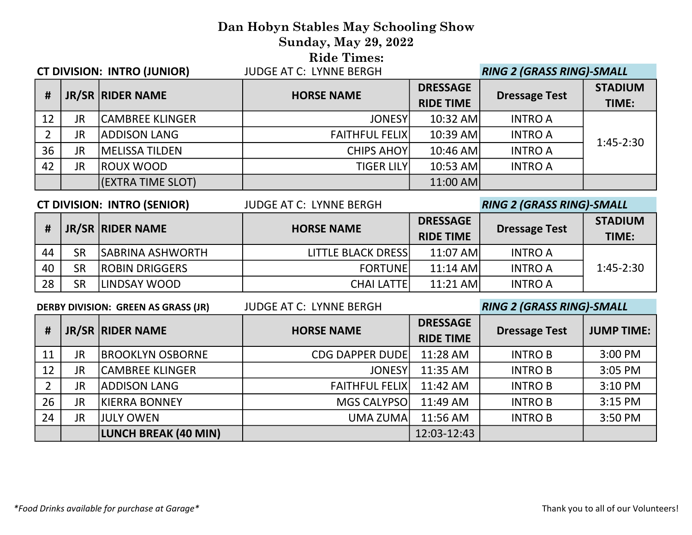### Dan Hobyn Stables May Schooling Show Sunday, May 29, 2022 Ride Times: CT DIVISION: INTRO (JUNIOR) JUDGE AT C: LYNNE BERGH RING 2 (GRASS RING)-SMALL

| <b>UL DIVISION: IN INU IJUNIUKI</b> |    |                        | JUDUL AT C. LINNE BERUH |                                     | וואן 2 באמען און Alivu Z נאמען |                         |
|-------------------------------------|----|------------------------|-------------------------|-------------------------------------|--------------------------------|-------------------------|
| #                                   |    | JR/SR RIDER NAME       | <b>HORSE NAME</b>       | <b>DRESSAGE</b><br><b>RIDE TIME</b> | <b>Dressage Test</b>           | <b>STADIUM</b><br>TIME: |
| 12                                  | JR | <b>CAMBREE KLINGER</b> | <b>JONESY</b>           | 10:32 AM                            | <b>INTRO A</b>                 |                         |
|                                     | JR | <b>ADDISON LANG</b>    | <b>FAITHFUL FELIXI</b>  | $10:39$ AM                          | <b>INTRO A</b>                 | $1:45-2:30$             |
| 36                                  | JR | <b>MELISSA TILDEN</b>  | <b>CHIPS AHOY</b>       | $10:46$ AM                          | <b>INTRO A</b>                 |                         |
| 42                                  | JR | <b>ROUX WOOD</b>       | <b>TIGER LILYI</b>      | 10:53 AM                            | <b>INTRO A</b>                 |                         |
|                                     |    | (EXTRA TIME SLOT)      |                         | $11:00$ AM                          |                                |                         |

| <b>CT DIVISION: INTRO (SENIOR)</b> |           |                          | <b>JUDGE AT C: LYNNE BERGH</b> |                  | <b>RING 2 (GRASS RING)-SMALL</b> |                                        |
|------------------------------------|-----------|--------------------------|--------------------------------|------------------|----------------------------------|----------------------------------------|
| #                                  |           | JR/SR RIDER NAME         | <b>HORSE NAME</b>              | <b>DRESSAGE</b>  |                                  | <b>STADIUM</b><br>TIME:<br>$1:45-2:30$ |
|                                    |           |                          |                                | <b>RIDE TIME</b> | <b>Dressage Test</b>             |                                        |
| 44                                 | <b>SR</b> | <b>ISABRINA ASHWORTH</b> | <b>LITTLE BLACK DRESSI</b>     | 11:07 AM         | <b>INTRO A</b>                   |                                        |
| 40                                 | <b>SR</b> | <b>ROBIN DRIGGERS</b>    | <b>FORTUNEI</b>                | 11:14 AM         | <b>INTRO A</b>                   |                                        |
| 28                                 | SR        | llindsay wood            | <b>CHAI LATTE</b>              | 11:21 AMI        | <b>INTRO A</b>                   |                                        |

| <b>JUDGE AT C: LYNNE BERGH</b><br><b>DERBY DIVISION: GREEN AS GRASS (JR)</b> |           |                         |                        | <b>RING 2 (GRASS RING)-SMALL</b>    |                      |                   |
|------------------------------------------------------------------------------|-----------|-------------------------|------------------------|-------------------------------------|----------------------|-------------------|
| #                                                                            |           | JR/SR RIDER NAME        | <b>HORSE NAME</b>      | <b>DRESSAGE</b><br><b>RIDE TIME</b> | <b>Dressage Test</b> | <b>JUMP TIME:</b> |
| 11                                                                           | <b>JR</b> | <b>BROOKLYN OSBORNE</b> | <b>CDG DAPPER DUDE</b> | 11:28 AM                            | <b>INTRO B</b>       | 3:00 PM           |
| 12                                                                           | JR        | ICAMBREE KLINGER        | <b>JONESY</b>          | 11:35 AM                            | <b>INTRO B</b>       | 3:05 PM           |
|                                                                              | JR        | <b>ADDISON LANG</b>     | <b>FAITHFUL FELIX</b>  | 11:42 AM                            | <b>INTRO B</b>       | 3:10 PM           |
| 26                                                                           | JR        | <b>KIERRA BONNEY</b>    | MGS CALYPSO            | 11:49 AM                            | <b>INTRO B</b>       | 3:15 PM           |
| 24                                                                           | <b>JR</b> | <b>JULY OWEN</b>        | <b>UMA ZUMA</b>        | 11:56 AM                            | <b>INTROB</b>        | 3:50 PM           |
|                                                                              |           | LUNCH BREAK (40 MIN)    |                        | 12:03-12:43                         |                      |                   |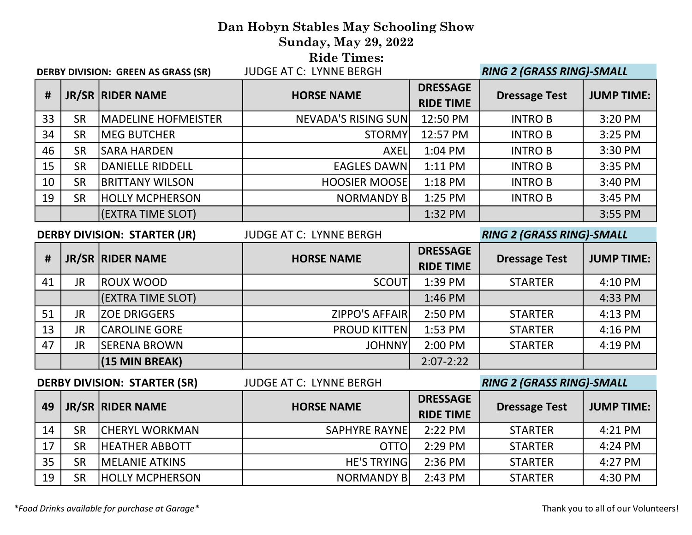# Dan Hobyn Stables May Schooling Show Sunday, May 29, 2022 **Ride Times:**<br>**ILIDGE AT C: LYNNE BERGH** DERBY DIVISION: GREEN AS GRASS (SR) JUDGE AT C: LYNNE BERGH RING 2 (GRASS RING)-SMALL

| #  |           | JR/SR RIDER NAME           | <b>HORSE NAME</b>          | <b>DRESSAGE</b><br><b>RIDE TIME</b> | <b>Dressage Test</b> | <b>JUMP TIME:</b> |
|----|-----------|----------------------------|----------------------------|-------------------------------------|----------------------|-------------------|
| 33 | <b>SR</b> | <b>MADELINE HOFMEISTER</b> | <b>NEVADA'S RISING SUN</b> | 12:50 PM                            | <b>INTRO B</b>       | 3:20 PM           |
| 34 | SR        | <b>MEG BUTCHER</b>         | <b>STORMY</b>              | 12:57 PM                            | <b>INTRO B</b>       | 3:25 PM           |
| 46 | <b>SR</b> | ISARA HARDEN               | <b>AXEL</b>                | 1:04 PM                             | <b>INTRO B</b>       | 3:30 PM           |
| 15 | <b>SR</b> | DANIELLE RIDDELL           | <b>EAGLES DAWN</b>         | $1:11$ PM                           | <b>INTRO B</b>       | 3:35 PM           |
| 10 | <b>SR</b> | <b>BRITTANY WILSON</b>     | <b>HOOSIER MOOSE</b>       | 1:18 PM                             | <b>INTRO B</b>       | 3:40 PM           |
| 19 | <b>SR</b> | <b>HOLLY MCPHERSON</b>     | <b>NORMANDY BI</b>         | $1:25$ PM                           | <b>INTRO B</b>       | 3:45 PM           |
|    |           | (EXTRA TIME SLOT)          |                            | 1:32 PM                             |                      | 3:55 PM           |
|    |           |                            |                            |                                     |                      |                   |

### DERBY DIVISION: STARTER (JR) JUDGE AT C: LYNNE BERGH RING 2 (GRASS RING)-SMALL

| #  |           | JR/SR RIDER NAME     | <b>HORSE NAME</b>   | <b>DRESSAGE</b>  | <b>Dressage Test</b> | <b>JUMP TIME:</b> |
|----|-----------|----------------------|---------------------|------------------|----------------------|-------------------|
|    |           |                      |                     | <b>RIDE TIME</b> |                      |                   |
| 41 | <b>JR</b> | <b>ROUX WOOD</b>     | <b>SCOUT</b>        | 1:39 PM          | <b>STARTER</b>       | 4:10 PM           |
|    |           | (EXTRA TIME SLOT)    |                     | 1:46 PM          |                      | 4:33 PM           |
| 51 | JR        | <b>ZOE DRIGGERS</b>  | ZIPPO'S AFFAIR      | 2:50 PM          | <b>STARTER</b>       | 4:13 PM           |
| 13 | <b>JR</b> | <b>CAROLINE GORE</b> | <b>PROUD KITTEN</b> | 1:53 PM          | <b>STARTER</b>       | 4:16 PM           |
| 47 | <b>JR</b> | <b>SERENA BROWN</b>  | <b>JOHNNY</b>       | 2:00 PM          | <b>STARTER</b>       | 4:19 PM           |
|    |           | $(15$ MIN BREAK)     |                     | $2:07 - 2:22$    |                      |                   |

# DERBY DIVISION: STARTER (SR) JUDGE AT C: LYNNE BERGH RING 2 (GRASS RING)-SMALL 49 JR/SR RIDER NAME HORSE NAME HORSE NAME RIDE TIME Dressage Test | JUMP TIME: 14 SR CHERYL WORKMAN THE SAPHYRE RAYNE 2:22 PM T STARTER 1 4:21 PM 17 SR HEATHER ABBOTT **OTTO** 2:29 PM STARTER 4:24 PM 35 SR MELANIE ATKINS HE'S TRYING 2:36 PM STARTER 4:27 PM 19 SR HOLLY MCPHERSON  $\vert$  NORMANDY B 2:43 PM STARTER 1 4:30 PM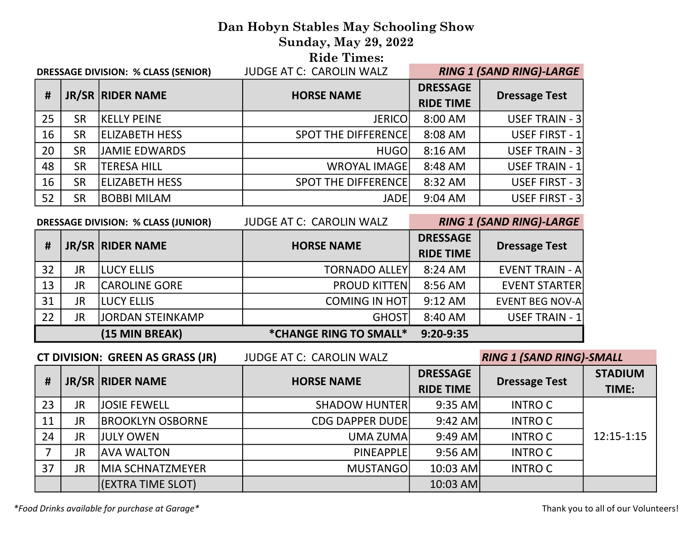### Dan Hobyn Stables May Schooling Show Sunday, May 29, 2022 Ride Times:

| <b>DRESSAGE DIVISION: % CLASS (SENIOR)</b> |           |                       | <b>JUDGE AT C: CAROLIN WALZ</b> | <b>RING 1 (SAND RING)-LARGE</b>     |                       |
|--------------------------------------------|-----------|-----------------------|---------------------------------|-------------------------------------|-----------------------|
| #                                          |           | JR/SR RIDER NAME      | <b>HORSE NAME</b>               | <b>DRESSAGE</b><br><b>RIDE TIME</b> | <b>Dressage Test</b>  |
| 25                                         | <b>SR</b> | <b>KELLY PEINE</b>    | <b>JERICO</b>                   | 8:00 AM                             | <b>USEF TRAIN - 3</b> |
| 16                                         | <b>SR</b> | <b>ELIZABETH HESS</b> | <b>SPOT THE DIFFERENCE!</b>     | 8:08 AM                             | USEF FIRST - 1        |
| 20                                         | <b>SR</b> | JAMIE EDWARDS         | <b>HUGOI</b>                    | 8:16 AM                             | USEF TRAIN - 3        |
| 48                                         | <b>SR</b> | <b>TERESA HILL</b>    | <b>WROYAL IMAGE</b>             | 8:48 AM                             | USEF TRAIN - 1        |
| 16                                         | <b>SR</b> | <b>ELIZABETH HESS</b> | <b>SPOT THE DIFFERENCE!</b>     | 8:32 AM                             | USEF FIRST - 3        |
| 52                                         | <b>SR</b> | BOBBI MILAM           | <b>JADE</b>                     | 9:04 AM                             | USEF FIRST - 3        |

|    | <b>DRESSAGE DIVISION: % CLASS (JUNIOR)</b> |                      | <b>JUDGE AT C: CAROLIN WALZ</b> | <b>RING 1 (SAND RING)-LARGE</b>     |                        |
|----|--------------------------------------------|----------------------|---------------------------------|-------------------------------------|------------------------|
| #  |                                            | JR/SR RIDER NAME     | <b>HORSE NAME</b>               | <b>DRESSAGE</b><br><b>RIDE TIME</b> | <b>Dressage Test</b>   |
| 32 | <b>JR</b>                                  | <b>ILUCY ELLIS</b>   | <b>TORNADO ALLEY</b>            | 8:24 AM                             | <b>EVENT TRAIN - A</b> |
| 13 | <b>JR</b>                                  | <b>CAROLINE GORE</b> | <b>PROUD KITTEN</b>             | 8:56 AM                             | <b>EVENT STARTER</b>   |
| 31 | <b>JR</b>                                  | <b>LUCY ELLIS</b>    | <b>COMING IN HOT</b>            | $9:12$ AM                           | <b>EVENT BEG NOV-A</b> |
| 22 | JR                                         | JORDAN STEINKAMP     | <b>GHOST</b>                    | 8:40 AM                             | USEF TRAIN - 1         |
|    |                                            | (15 MIN BREAK)       | *CHANGE RING TO SMALL*          | $9:20-9:35$                         |                        |

CT DIVISION: GREEN AS GRASS (JR) JUDGE AT C: CAROLIN WALZ RING 1 (SAND RING)-SMALL

| #  |           | JR/SR RIDER NAME        | <b>HORSE NAME</b>      | <b>DRESSAGE</b><br><b>RIDE TIME</b> | <b>Dressage Test</b> | <b>STADIUM</b><br>TIME: |
|----|-----------|-------------------------|------------------------|-------------------------------------|----------------------|-------------------------|
| 23 | <b>JR</b> | <b>JOSIE FEWELL</b>     | <b>SHADOW HUNTER</b>   | $9:35$ AM                           | <b>INTRO C</b>       |                         |
| 11 | <b>JR</b> | <b>BROOKLYN OSBORNE</b> | <b>CDG DAPPER DUDE</b> | $9:42$ AM                           | <b>INTRO C</b>       |                         |
| 24 | <b>JR</b> | <b>JULY OWEN</b>        | UMA ZUMA               | $9:49$ AM                           | <b>INTRO C</b>       | 12:15-1:15              |
|    | JR        | <b>AVA WALTON</b>       | <b>PINEAPPLE</b>       | $9:56$ AM                           | <b>INTRO C</b>       |                         |
| 37 | <b>JR</b> | MIA SCHNATZMEYER        | <b>MUSTANGOI</b>       | $10:03$ AM                          | INTRO C              |                         |
|    |           | (EXTRA TIME SLOT)       |                        | $10:03$ AM                          |                      |                         |

\*Food Drinks available for purchase at Garage\* Thank you to all of our Volunteers!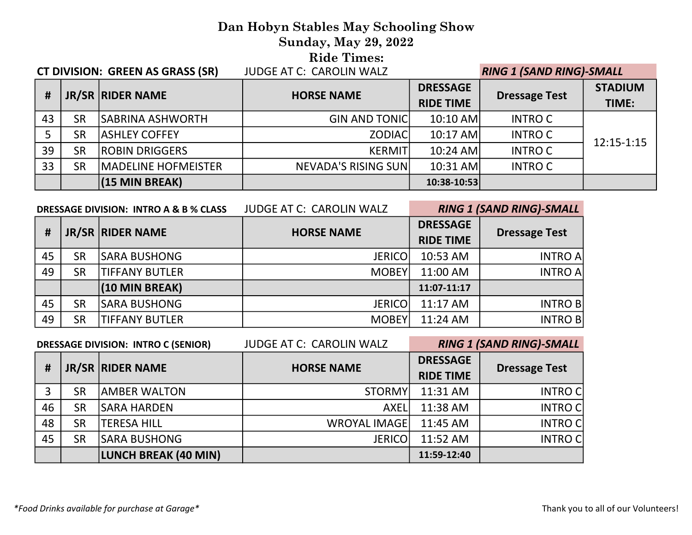# Dan Hobyn Stables May Schooling Show Sunday, May 29, 2022 **Ride Times:**<br>FUDGE AT C: CAROUN WALZ CT DIVISION: GREEN AS GRASS (SR) JUDGE AT C: CAROLIN WALZ RING 1 (SAND RING)-SMALL

|    | <b>CI DIVISION.</b> UNLLIY AS UNASS (SIV)<br>JUDUL AT C. CANOLIN WALL |                             |                             | <b>AINU I DAND NINU/-SIVIALL</b>    |                      |                         |
|----|-----------------------------------------------------------------------|-----------------------------|-----------------------------|-------------------------------------|----------------------|-------------------------|
| #  |                                                                       | JR/SR RIDER NAME            | <b>HORSE NAME</b>           | <b>DRESSAGE</b><br><b>RIDE TIME</b> | <b>Dressage Test</b> | <b>STADIUM</b><br>TIME: |
| 43 | <b>SR</b>                                                             | <b>SABRINA ASHWORTH</b>     | <b>GIN AND TONIC</b>        | $10:10$ AM                          | INTRO C              |                         |
|    | <b>SR</b>                                                             | <b>ASHLEY COFFEY</b>        | <b>ZODIACI</b>              | $10:17$ AM                          | INTRO C              | $12:15 - 1:15$          |
| 39 | <b>SR</b>                                                             | <b>ROBIN DRIGGERS</b>       | <b>KERMITI</b>              | $10:24$ AM                          | <b>INTRO C</b>       |                         |
| 33 | <b>SR</b>                                                             | <b>IMADELINE HOFMEISTER</b> | <b>NEVADA'S RISING SUNI</b> | $10:31$ AM                          | <b>INTRO C</b>       |                         |
|    |                                                                       | (15 MIN BREAK)              |                             | 10:38-10:53                         |                      |                         |

|    | <b>JUDGE AT C: CAROLIN WALZ</b><br>DRESSAGE DIVISION: INTRO A & B % CLASS |                       |                   | <b>RING 1 (SAND RING)-SMALL</b>     |                      |
|----|---------------------------------------------------------------------------|-----------------------|-------------------|-------------------------------------|----------------------|
| #  |                                                                           | JR/SR RIDER NAME      | <b>HORSE NAME</b> | <b>DRESSAGE</b><br><b>RIDE TIME</b> | <b>Dressage Test</b> |
| 45 | <b>SR</b>                                                                 | <b>SARA BUSHONG</b>   | <b>JERICO</b>     | 10:53 AM                            | <b>INTRO A</b>       |
| 49 | <b>SR</b>                                                                 | <b>TIFFANY BUTLER</b> | <b>MOBEY</b>      | 11:00 AM                            | <b>INTRO A</b>       |
|    |                                                                           | (10 MIN BREAK)        |                   | 11:07-11:17                         |                      |
| 45 | <b>SR</b>                                                                 | <b>SARA BUSHONG</b>   | <b>JERICO</b>     | 11:17 AM                            | <b>INTRO B</b>       |
| 49 | <b>SR</b>                                                                 | <b>TIFFANY BUTLER</b> | <b>MOBEY</b>      | 11:24 AM                            | <b>INTRO B</b>       |

| <b>JUDGE AT C: CAROLIN WALZ</b><br><b>DRESSAGE DIVISION: INTRO C (SENIOR)</b> |           |                      | <b>RING 1 (SAND RING)-SMALL</b> |                                     |                      |
|-------------------------------------------------------------------------------|-----------|----------------------|---------------------------------|-------------------------------------|----------------------|
| #                                                                             |           | JR/SR RIDER NAME     | <b>HORSE NAME</b>               | <b>DRESSAGE</b><br><b>RIDE TIME</b> | <b>Dressage Test</b> |
| 3                                                                             | <b>SR</b> | <b>JAMBER WALTON</b> | <b>STORMY</b>                   | 11:31 AM                            | <b>INTRO C</b>       |
| 46                                                                            | <b>SR</b> | <b>SARA HARDEN</b>   | <b>AXELI</b>                    | 11:38 AM                            | <b>INTROC</b>        |
| 48                                                                            | <b>SR</b> | <b>TERESA HILL</b>   | <b>WROYAL IMAGE</b>             | 11:45 AM                            | <b>INTRO C</b>       |
| 45                                                                            | <b>SR</b> | <b>SARA BUSHONG</b>  | <b>JERICO</b>                   | 11:52 AM                            | <b>INTROC</b>        |
|                                                                               |           | LUNCH BREAK (40 MIN) |                                 | 11:59-12:40                         |                      |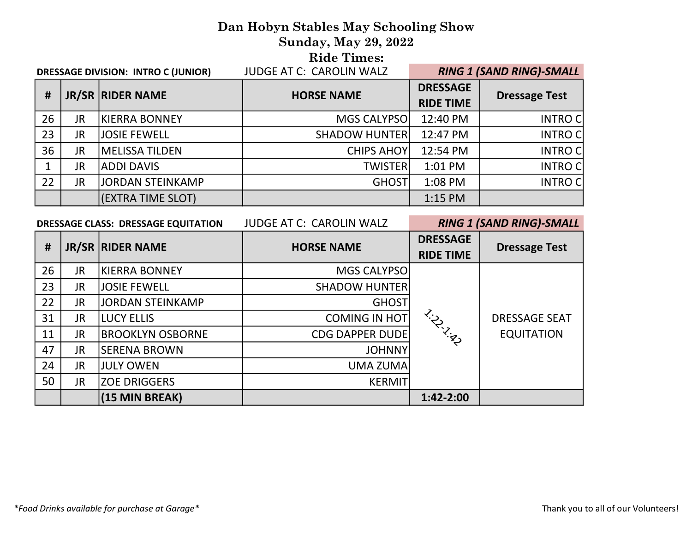# Dan Hobyn Stables May Schooling Show

Sunday, May 29, 2022

Ride Times:

| JUDGE AT C: CAROLIN WALZ<br><b>DRESSAGE DIVISION: INTRO C (JUNIOR)</b> |           |                       |                      | <b>RING 1 (SAND RING)-SMALL</b>     |                      |  |
|------------------------------------------------------------------------|-----------|-----------------------|----------------------|-------------------------------------|----------------------|--|
| #                                                                      |           | JR/SR RIDER NAME      | <b>HORSE NAME</b>    | <b>DRESSAGE</b><br><b>RIDE TIME</b> | <b>Dressage Test</b> |  |
| 26                                                                     | JR        | <b>KIERRA BONNEY</b>  | MGS CALYPSO          | 12:40 PM                            | <b>INTRO C</b>       |  |
| 23                                                                     | JR        | JOSIE FEWELL          | <b>SHADOW HUNTER</b> | 12:47 PM                            | <b>INTRO C</b>       |  |
| 36                                                                     | JR.       | <b>MELISSA TILDEN</b> | <b>CHIPS AHOY</b>    | 12:54 PM                            | <b>INTRO C</b>       |  |
|                                                                        | JR        | ADDI DAVIS            | <b>TWISTER</b>       | 1:01 PM                             | <b>INTRO C</b>       |  |
| 22                                                                     | <b>JR</b> | JORDAN STEINKAMP      | GHOST                | 1:08 PM                             | <b>INTRO C</b>       |  |
|                                                                        |           | (EXTRA TIME SLOT)     |                      | 1:15 PM                             |                      |  |

| <b>JUDGE AT C: CAROLIN WALZ</b><br><b>DRESSAGE CLASS: DRESSAGE EQUITATION</b> |           |                         | <b>RING 1 (SAND RING)-SMALL</b> |                                     |                      |
|-------------------------------------------------------------------------------|-----------|-------------------------|---------------------------------|-------------------------------------|----------------------|
| #                                                                             |           | JR/SR   RIDER NAME      | <b>HORSE NAME</b>               | <b>DRESSAGE</b><br><b>RIDE TIME</b> | <b>Dressage Test</b> |
| 26                                                                            | <b>JR</b> | KIERRA BONNEY           | MGS CALYPSO                     |                                     |                      |
| 23                                                                            | JR.       | <b>JOSIE FEWELL</b>     | <b>SHADOW HUNTER</b>            |                                     | <b>DRESSAGE SEAT</b> |
| 22                                                                            | JR.       | <b>JORDAN STEINKAMP</b> | <b>GHOST</b>                    |                                     |                      |
| 31                                                                            | JR.       | <b>LUCY ELLIS</b>       | <b>COMING IN HOT</b>            | L.H.Island                          |                      |
| 11                                                                            | <b>JR</b> | <b>BROOKLYN OSBORNE</b> | <b>CDG DAPPER DUDE</b>          |                                     | <b>EQUITATION</b>    |
| 47                                                                            | JR.       | <b>SERENA BROWN</b>     | <b>JOHNNY</b>                   |                                     |                      |
| 24                                                                            | JR.       | <b>JULY OWEN</b>        | UMA ZUMA                        |                                     |                      |
| 50                                                                            | JR.       | <b>ZOE DRIGGERS</b>     | <b>KERMIT</b>                   |                                     |                      |
|                                                                               |           | (15 MIN BREAK)          |                                 | 1:42-2:00                           |                      |